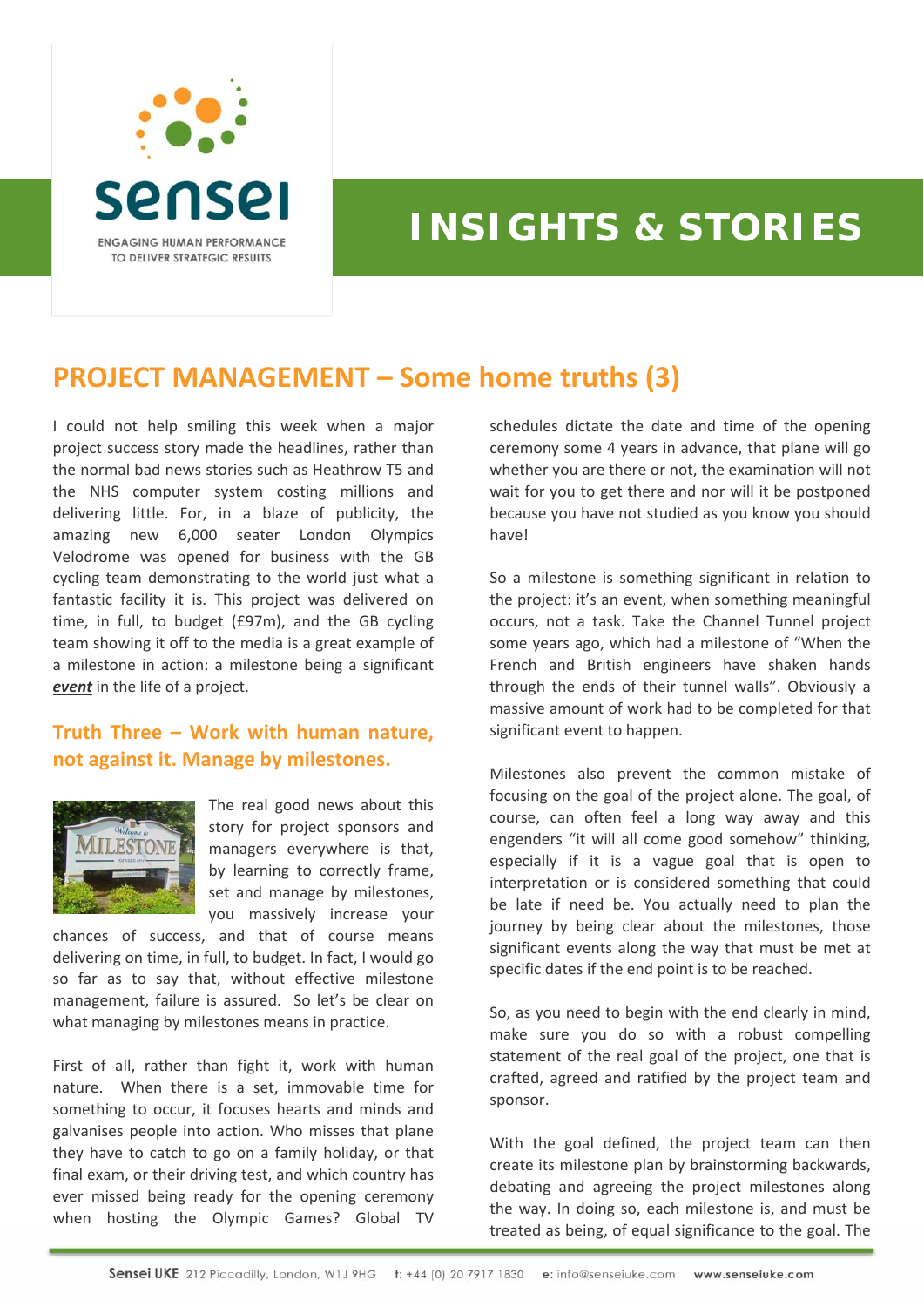

## **INSIGHTS & STORIES**

## **PROJECT MANAGEMENT – Some home truths (3)**

I could not help smiling this week when a major project success story made the headlines, rather than the normal bad news stories such as Heathrow T5 and the NHS computer system costing millions and delivering little. For, in a blaze of publicity, the amazing new 6,000 seater London Olympics Velodrome was opened for business with the GB cycling team demonstrating to the world just what a fantastic facility it is. This project was delivered on time, in full, to budget (£97m), and the GB cycling team showing it off to the media is a great example of a milestone in action: a milestone being a significant *event* in the life of a project.

## **Truth Three – Work with human nature, not against it. Manage by milestones.**



The real good news about this story for project sponsors and managers everywhere is that, by learning to correctly frame, set and manage by milestones, you massively increase your

chances of success, and that of course means delivering on time, in full, to budget. In fact, I would go so far as to say that, without effective milestone management, failure is assured. So let's be clear on what managing by milestones means in practice.

First of all, rather than fight it, work with human nature. When there is a set, immovable time for something to occur, it focuses hearts and minds and galvanises people into action. Who misses that plane they have to catch to go on a family holiday, or that final exam, or their driving test, and which country has ever missed being ready for the opening ceremony when hosting the Olympic Games? Global TV

schedules dictate the date and time of the opening ceremony some 4 years in advance, that plane will go whether you are there or not, the examination will not wait for you to get there and nor will it be postponed because you have not studied as you know you should have!

So a milestone is something significant in relation to the project: it's an event, when something meaningful occurs, not a task. Take the Channel Tunnel project some years ago, which had a milestone of "When the French and British engineers have shaken hands through the ends of their tunnel walls". Obviously a massive amount of work had to be completed for that significant event to happen.

Milestones also prevent the common mistake of focusing on the goal of the project alone. The goal, of course, can often feel a long way away and this engenders "it will all come good somehow" thinking, especially if it is a vague goal that is open to interpretation or is considered something that could be late if need be. You actually need to plan the journey by being clear about the milestones, those significant events along the way that must be met at specific dates if the end point is to be reached.

So, as you need to begin with the end clearly in mind, make sure you do so with a robust compelling statement of the real goal of the project, one that is crafted, agreed and ratified by the project team and sponsor.

With the goal defined, the project team can then create its milestone plan by brainstorming backwards, debating and agreeing the project milestones along the way. In doing so, each milestone is, and must be treated as being, of equal significance to the goal. The